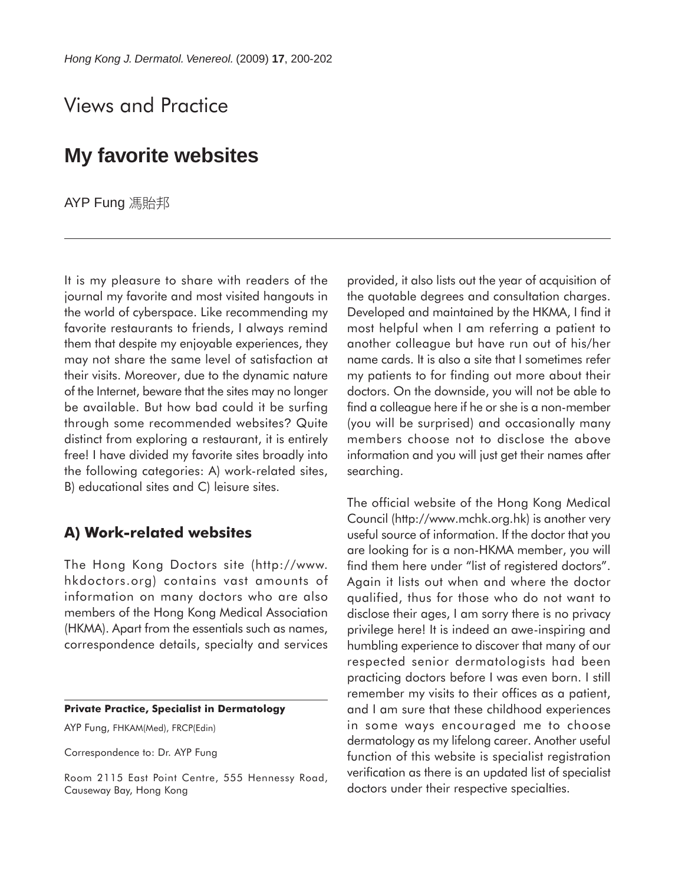# Views and Practice

## **My favorite websites**

AYP Fung 馮貽邦

It is my pleasure to share with readers of the journal my favorite and most visited hangouts in the world of cyberspace. Like recommending my favorite restaurants to friends, I always remind them that despite my enjoyable experiences, they may not share the same level of satisfaction at their visits. Moreover, due to the dynamic nature of the Internet, beware that the sites may no longer be available. But how bad could it be surfing through some recommended websites? Quite distinct from exploring a restaurant, it is entirely free! I have divided my favorite sites broadly into the following categories: A) work-related sites, B) educational sites and C) leisure sites.

### **A) Work-related websites**

The Hong Kong Doctors site (http://www. hkdoctors.org) contains vast amounts of information on many doctors who are also members of the Hong Kong Medical Association (HKMA). Apart from the essentials such as names, correspondence details, specialty and services

#### **Private Practice, Specialist in Dermatology**

AYP Fung, FHKAM(Med), FRCP(Edin)

Correspondence to: Dr. AYP Fung

Room 2115 East Point Centre, 555 Hennessy Road, Causeway Bay, Hong Kong

provided, it also lists out the year of acquisition of the quotable degrees and consultation charges. Developed and maintained by the HKMA, I find it most helpful when I am referring a patient to another colleague but have run out of his/her name cards. It is also a site that I sometimes refer my patients to for finding out more about their doctors. On the downside, you will not be able to find a colleague here if he or she is a non-member (you will be surprised) and occasionally many members choose not to disclose the above information and you will just get their names after searching.

The official website of the Hong Kong Medical Council (http://www.mchk.org.hk) is another very useful source of information. If the doctor that you are looking for is a non-HKMA member, you will find them here under "list of registered doctors". Again it lists out when and where the doctor qualified, thus for those who do not want to disclose their ages, I am sorry there is no privacy privilege here! It is indeed an awe-inspiring and humbling experience to discover that many of our respected senior dermatologists had been practicing doctors before I was even born. I still remember my visits to their offices as a patient, and I am sure that these childhood experiences in some ways encouraged me to choose dermatology as my lifelong career. Another useful function of this website is specialist registration verification as there is an updated list of specialist doctors under their respective specialties.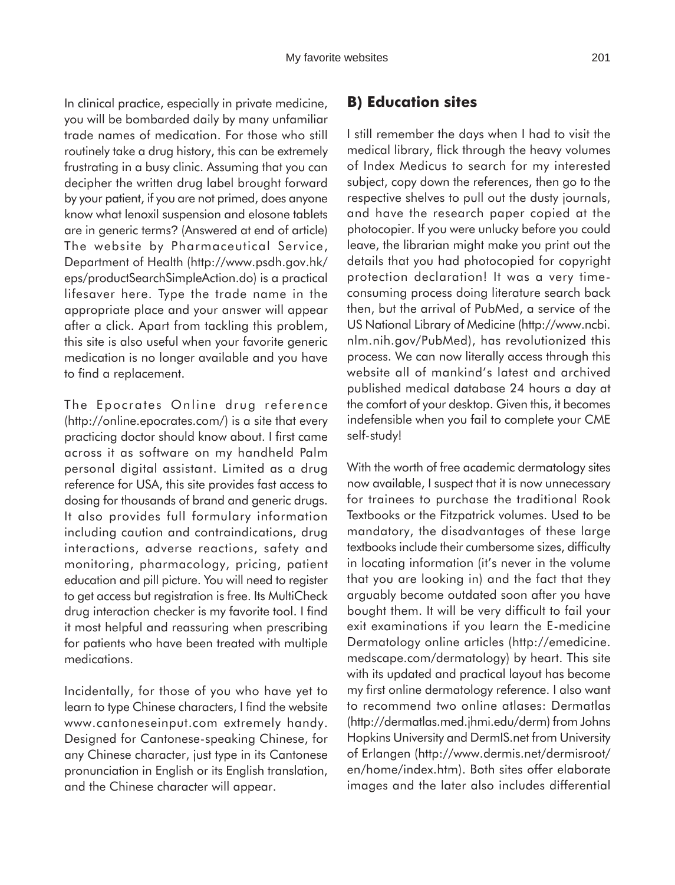In clinical practice, especially in private medicine, you will be bombarded daily by many unfamiliar trade names of medication. For those who still routinely take a drug history, this can be extremely frustrating in a busy clinic. Assuming that you can decipher the written drug label brought forward by your patient, if you are not primed, does anyone know what lenoxil suspension and elosone tablets are in generic terms? (Answered at end of article) The website by Pharmaceutical Service, Department of Health (http://www.psdh.gov.hk/ eps/productSearchSimpleAction.do) is a practical lifesaver here. Type the trade name in the appropriate place and your answer will appear after a click. Apart from tackling this problem, this site is also useful when your favorite generic medication is no longer available and you have to find a replacement.

The Epocrates Online drug reference (http://online.epocrates.com/) is a site that every practicing doctor should know about. I first came across it as software on my handheld Palm personal digital assistant. Limited as a drug reference for USA, this site provides fast access to dosing for thousands of brand and generic drugs. It also provides full formulary information including caution and contraindications, drug interactions, adverse reactions, safety and monitoring, pharmacology, pricing, patient education and pill picture. You will need to register to get access but registration is free. Its MultiCheck drug interaction checker is my favorite tool. I find it most helpful and reassuring when prescribing for patients who have been treated with multiple medications.

Incidentally, for those of you who have yet to learn to type Chinese characters, I find the website www.cantoneseinput.com extremely handy. Designed for Cantonese-speaking Chinese, for any Chinese character, just type in its Cantonese pronunciation in English or its English translation, and the Chinese character will appear.

### **B) Education sites**

I still remember the days when I had to visit the medical library, flick through the heavy volumes of Index Medicus to search for my interested subject, copy down the references, then go to the respective shelves to pull out the dusty journals, and have the research paper copied at the photocopier. If you were unlucky before you could leave, the librarian might make you print out the details that you had photocopied for copyright protection declaration! It was a very timeconsuming process doing literature search back then, but the arrival of PubMed, a service of the US National Library of Medicine (http://www.ncbi. nlm.nih.gov/PubMed), has revolutionized this process. We can now literally access through this website all of mankind's latest and archived published medical database 24 hours a day at the comfort of your desktop. Given this, it becomes indefensible when you fail to complete your CME self-study!

With the worth of free academic dermatology sites now available, I suspect that it is now unnecessary for trainees to purchase the traditional Rook Textbooks or the Fitzpatrick volumes. Used to be mandatory, the disadvantages of these large textbooks include their cumbersome sizes, difficulty in locating information (it's never in the volume that you are looking in) and the fact that they arguably become outdated soon after you have bought them. It will be very difficult to fail your exit examinations if you learn the E-medicine Dermatology online articles (http://emedicine. medscape.com/dermatology) by heart. This site with its updated and practical layout has become my first online dermatology reference. I also want to recommend two online atlases: Dermatlas (http://dermatlas.med.jhmi.edu/derm) from Johns Hopkins University and DermIS.net from University of Erlangen (http://www.dermis.net/dermisroot/ en/home/index.htm). Both sites offer elaborate images and the later also includes differential